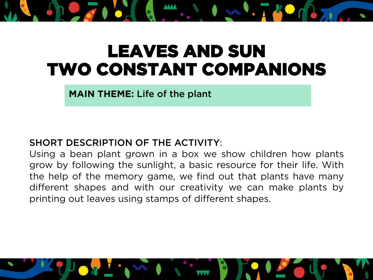# LEAVES AND SUN TWO CONSTANT COMPANIONS

**MAIN THEME:** Life of the plant

### SHORT DESCRIPTION OF THE ACTIVITY:

Using a bean plant grown in a box we show children how plants grow by following the sunlight, a basic resource for their life. With the help of the memory game, we find out that plants have many different shapes and with our creativity we can make plants by printing out leaves using stamps of different shapes.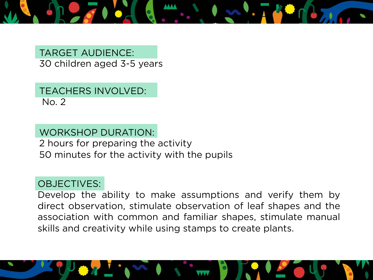

TARGET AUDIENCE: 30 children aged 3-5 years

TEACHERS INVOLVED: No. 2

WORKSHOP DURATION: 2 hours for preparing the activity 50 minutes for the activity with the pupils

#### OBJECTIVES:

Develop the ability to make assumptions and verify them by direct observation, stimulate observation of leaf shapes and the association with common and familiar shapes, stimulate manual skills and creativity while using stamps to create plants.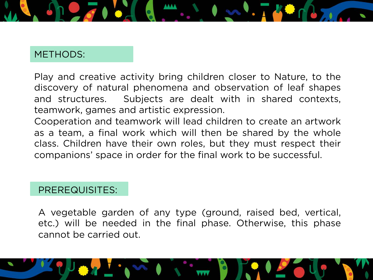

#### METHODS:

Play and creative activity bring children closer to Nature, to the discovery of natural phenomena and observation of leaf shapes and structures. Subjects are dealt with in shared contexts, teamwork, games and artistic expression.

Cooperation and teamwork will lead children to create an artwork as a team, a final work which will then be shared by the whole class. Children have their own roles, but they must respect their companions' space in order for the final work to be successful.

### PREREQUISITES:

A vegetable garden of any type (ground, raised bed, vertical, etc.) will be needed in the final phase. Otherwise, this phase cannot be carried out.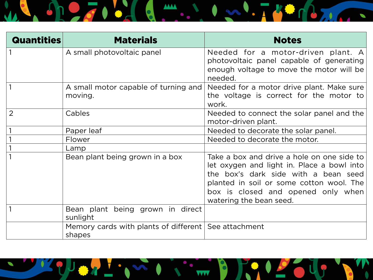

| <b>Quantities</b> | <b>Materials</b>                                                 | <b>Notes</b>                                                                                                                                                                                                                                  |
|-------------------|------------------------------------------------------------------|-----------------------------------------------------------------------------------------------------------------------------------------------------------------------------------------------------------------------------------------------|
|                   | A small photovoltaic panel                                       | Needed for a motor-driven plant. A<br>photovoltaic panel capable of generating<br>enough voltage to move the motor will be<br>needed.                                                                                                         |
|                   | A small motor capable of turning and<br>moving.                  | Needed for a motor drive plant. Make sure<br>the voltage is correct for the motor to<br>work.                                                                                                                                                 |
| $\overline{2}$    | Cables                                                           | Needed to connect the solar panel and the<br>motor-driven plant.                                                                                                                                                                              |
|                   | Paper leaf                                                       | Needed to decorate the solar panel.                                                                                                                                                                                                           |
|                   | Flower                                                           | Needed to decorate the motor.                                                                                                                                                                                                                 |
|                   | Lamp                                                             |                                                                                                                                                                                                                                               |
|                   | Bean plant being grown in a box                                  | Take a box and drive a hole on one side to<br>let oxygen and light in. Place a bowl into<br>the box's dark side with a bean seed<br>planted in soil or some cotton wool. The<br>box is closed and opened only when<br>watering the bean seed. |
|                   | Bean plant being grown in direct<br>sunlight                     |                                                                                                                                                                                                                                               |
|                   | Memory cards with plants of different   See attachment<br>shapes |                                                                                                                                                                                                                                               |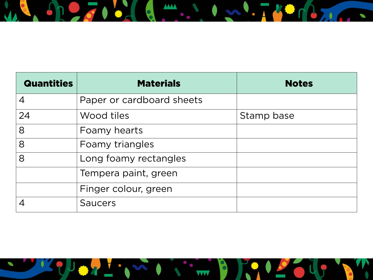

| <b>Quantities</b> | <b>Materials</b>          | <b>Notes</b> |
|-------------------|---------------------------|--------------|
| $\overline{4}$    | Paper or cardboard sheets |              |
| 24                | Wood tiles                | Stamp base   |
| 8                 | Foamy hearts              |              |
| 8                 | Foamy triangles           |              |
| 8                 | Long foamy rectangles     |              |
|                   | Tempera paint, green      |              |
|                   | Finger colour, green      |              |
|                   | <b>Saucers</b>            |              |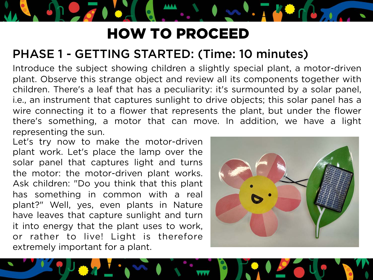# HOW TO PROCEED

## PHASE 1 - GETTING STARTED: (Time: 10 minutes)

Introduce the subject showing children a slightly special plant, a motor-driven plant. Observe this strange object and review all its components together with children. There's a leaf that has a peculiarity: it's surmounted by a solar panel, i.e., an instrument that captures sunlight to drive objects; this solar panel has a wire connecting it to a flower that represents the plant, but under the flower there's something, a motor that can move. In addition, we have a light representing the sun.

Let's try now to make the motor-driven plant work. Let's place the lamp over the solar panel that captures light and turns the motor: the motor-driven plant works. Ask children: "Do you think that this plant has something in common with a real plant?" Well, yes, even plants in Nature have leaves that capture sunlight and turn it into energy that the plant uses to work, or rather to live! Light is therefore extremely important for a plant.

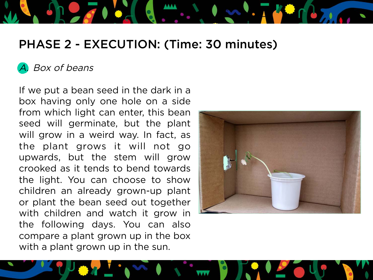# PHASE 2 - EXECUTION: (Time: 30 minutes)

### Box of beans

If we put a bean seed in the dark in a box having only one hole on a side from which light can enter, this bean seed will germinate, but the plant will grow in a weird way. In fact, as the plant grows it will not go upwards, but the stem will grow crooked as it tends to bend towards the light. You can choose to show children an already grown-up plant or plant the bean seed out together with children and watch it grow in the following days. You can also compare a plant grown up in the box with a plant grown up in the sun.

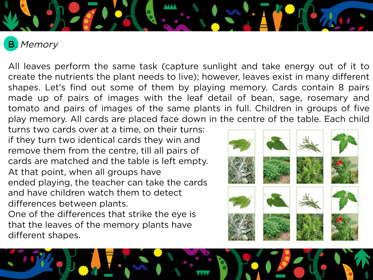

B. Memory

֦

All leaves perform the same task (capture sunlight and take energy out of it to create the nutrients the plant needs to live); however, leaves exist in many different shapes. Let's find out some of them by playing memory. Cards contain 8 pairs made up of pairs of images with the leaf detail of bean, sage, rosemary and tomato and pairs of images of the same plants in full. Children in groups of five play memory. All cards are placed face down in the centre of the table. Each child

turns two cards over at a time, on their turns: if they turn two identical cards they win and remove them from the centre, till all pairs of cards are matched and the table is left empty. At that point, when all groups have ended playing, the teacher can take the cards and have children watch them to detect differences between plants.

One of the differences that strike the eye is that the leaves of the memory plants have different shapes.

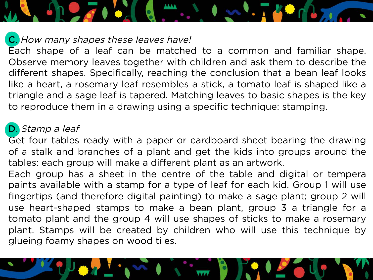#### C. How many shapes these leaves have!

Each shape of a leaf can be matched to a common and familiar shape. Observe memory leaves together with children and ask them to describe the different shapes. Specifically, reaching the conclusion that a bean leaf looks like a heart, a rosemary leaf resembles a stick, a tomato leaf is shaped like a triangle and a sage leaf is tapered. Matching leaves to basic shapes is the key to reproduce them in a drawing using a specific technique: stamping.

### D. Stamp a leaf

Get four tables ready with a paper or cardboard sheet bearing the drawing of a stalk and branches of a plant and get the kids into groups around the tables: each group will make a different plant as an artwork.

Each group has a sheet in the centre of the table and digital or tempera paints available with a stamp for a type of leaf for each kid. Group 1 will use fingertips (and therefore digital painting) to make a sage plant; group 2 will use heart-shaped stamps to make a bean plant, group 3 a triangle for a tomato plant and the group 4 will use shapes of sticks to make a rosemary plant. Stamps will be created by children who will use this technique by glueing foamy shapes on wood tiles.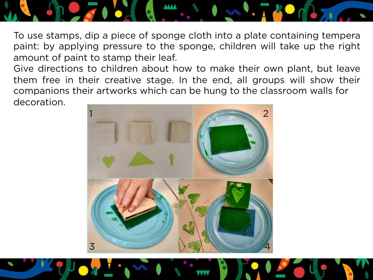

To use stamps, dip a piece of sponge cloth into a plate containing tempera paint: by applying pressure to the sponge, children will take up the right amount of paint to stamp their leaf.

Give directions to children about how to make their own plant, but leave them free in their creative stage. In the end, all groups will show their companions their artworks which can be hung to the classroom walls for decoration.

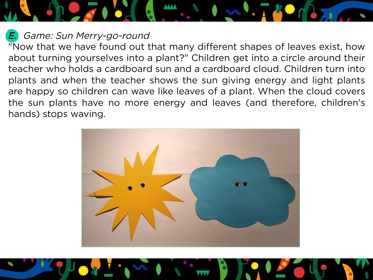*E.* Game: Sun Merry-go-round

"Now that we have found out that many different shapes of leaves exist, how about turning yourselves into a plant?" Children get into a circle around their teacher who holds a cardboard sun and a cardboard cloud. Children turn into plants and when the teacher shows the sun giving energy and light plants are happy so children can wave like leaves of a plant. When the cloud covers the sun plants have no more energy and leaves (and therefore, children's hands) stops waving.

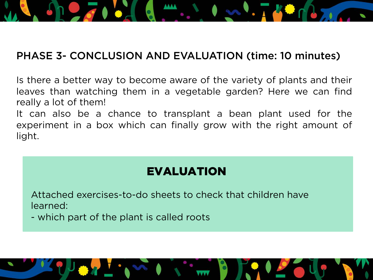

### PHASE 3- CONCLUSION AND EVALUATION (time: 10 minutes)

Is there a better way to become aware of the variety of plants and their leaves than watching them in a vegetable garden? Here we can find really a lot of them!

It can also be a chance to transplant a bean plant used for the experiment in a box which can finally grow with the right amount of light.

## EVALUATION

Attached exercises-to-do sheets to check that children have learned:

- which part of the plant is called roots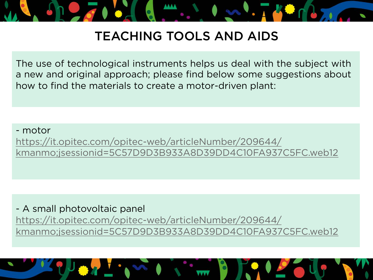

# TEACHING TOOLS AND AIDS

The use of technological instruments helps us deal with the subject with a new and original approach; please find below some suggestions about how to find the materials to create a motor-driven plant:

- motor https://it.opitec.com/opitec-web/articleNumber/209644/ kmanmo;jsessionid=5C57D9D3B933A8D39DD4C10FA937C5FC.web12

- A small photovoltaic panel https://it.opitec.com/opitec-web/articleNumber/209644/ kmanmo;jsessionid=5C57D9D3B933A8D39DD4C10FA937C5FC.web12